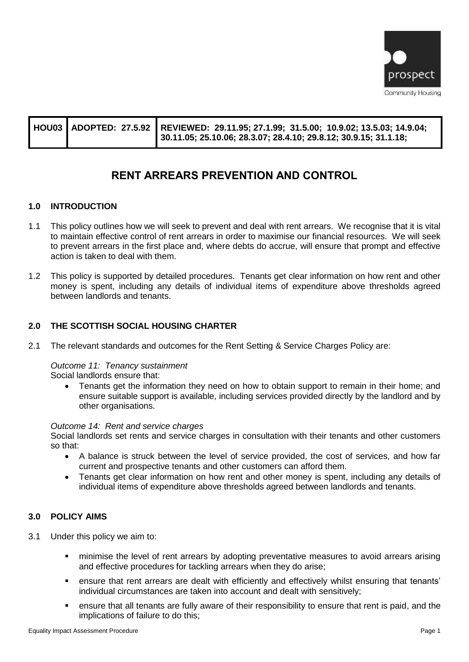

|  | HOU03 ADOPTED: 27.5.92 REVIEWED: 29.11.95; 27.1.99; 31.5.00; 10.9.02; 13.5.03; 14.9.04;<br>30.11.05; 25.10.06; 28.3.07; 28.4.10; 29.8.12; 30.9.15; 31.1.18; |
|--|-------------------------------------------------------------------------------------------------------------------------------------------------------------|
|  |                                                                                                                                                             |

# **RENT ARREARS PREVENTION AND CONTROL**

#### **1.0 INTRODUCTION**

- 1.1 This policy outlines how we will seek to prevent and deal with rent arrears. We recognise that it is vital to maintain effective control of rent arrears in order to maximise our financial resources. We will seek to prevent arrears in the first place and, where debts do accrue, will ensure that prompt and effective action is taken to deal with them.
- 1.2 This policy is supported by detailed procedures. Tenants get clear information on how rent and other money is spent, including any details of individual items of expenditure above thresholds agreed between landlords and tenants.

### **2.0 THE SCOTTISH SOCIAL HOUSING CHARTER**

2.1 The relevant standards and outcomes for the Rent Setting & Service Charges Policy are:

#### *Outcome 11: Tenancy sustainment*

Social landlords ensure that:

• Tenants get the information they need on how to obtain support to remain in their home; and ensure suitable support is available, including services provided directly by the landlord and by other organisations.

#### *Outcome 14: Rent and service charges*

Social landlords set rents and service charges in consultation with their tenants and other customers so that:

- A balance is struck between the level of service provided, the cost of services, and how far current and prospective tenants and other customers can afford them.
- Tenants get clear information on how rent and other money is spent, including any details of individual items of expenditure above thresholds agreed between landlords and tenants.

#### **3.0 POLICY AIMS**

- 3.1 Under this policy we aim to:
	- minimise the level of rent arrears by adopting preventative measures to avoid arrears arising and effective procedures for tackling arrears when they do arise;
	- **•** ensure that rent arrears are dealt with efficiently and effectively whilst ensuring that tenants' individual circumstances are taken into account and dealt with sensitively;
	- ensure that all tenants are fully aware of their responsibility to ensure that rent is paid, and the implications of failure to do this;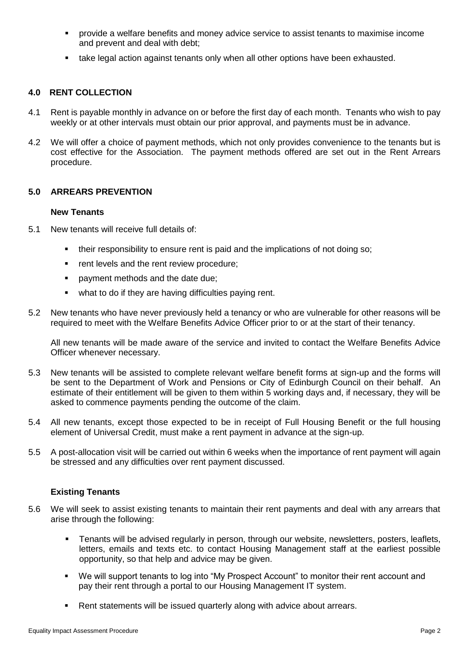- provide a welfare benefits and money advice service to assist tenants to maximise income and prevent and deal with debt;
- take legal action against tenants only when all other options have been exhausted.

### **4.0 RENT COLLECTION**

- 4.1 Rent is payable monthly in advance on or before the first day of each month. Tenants who wish to pay weekly or at other intervals must obtain our prior approval, and payments must be in advance.
- 4.2 We will offer a choice of payment methods, which not only provides convenience to the tenants but is cost effective for the Association. The payment methods offered are set out in the Rent Arrears procedure.

### **5.0 ARREARS PREVENTION**

#### **New Tenants**

- 5.1 New tenants will receive full details of:
	- their responsibility to ensure rent is paid and the implications of not doing so;
	- rent levels and the rent review procedure:
	- payment methods and the date due:
	- what to do if they are having difficulties paying rent.
- 5.2 New tenants who have never previously held a tenancy or who are vulnerable for other reasons will be required to meet with the Welfare Benefits Advice Officer prior to or at the start of their tenancy.

All new tenants will be made aware of the service and invited to contact the Welfare Benefits Advice Officer whenever necessary.

- 5.3 New tenants will be assisted to complete relevant welfare benefit forms at sign-up and the forms will be sent to the Department of Work and Pensions or City of Edinburgh Council on their behalf. An estimate of their entitlement will be given to them within 5 working days and, if necessary, they will be asked to commence payments pending the outcome of the claim.
- 5.4 All new tenants, except those expected to be in receipt of Full Housing Benefit or the full housing element of Universal Credit, must make a rent payment in advance at the sign-up.
- 5.5 A post-allocation visit will be carried out within 6 weeks when the importance of rent payment will again be stressed and any difficulties over rent payment discussed.

### **Existing Tenants**

- 5.6 We will seek to assist existing tenants to maintain their rent payments and deal with any arrears that arise through the following:
	- **•** Tenants will be advised regularly in person, through our website, newsletters, posters, leaflets, letters, emails and texts etc. to contact Housing Management staff at the earliest possible opportunity, so that help and advice may be given.
	- We will support tenants to log into "My Prospect Account" to monitor their rent account and pay their rent through a portal to our Housing Management IT system.
	- Rent statements will be issued quarterly along with advice about arrears.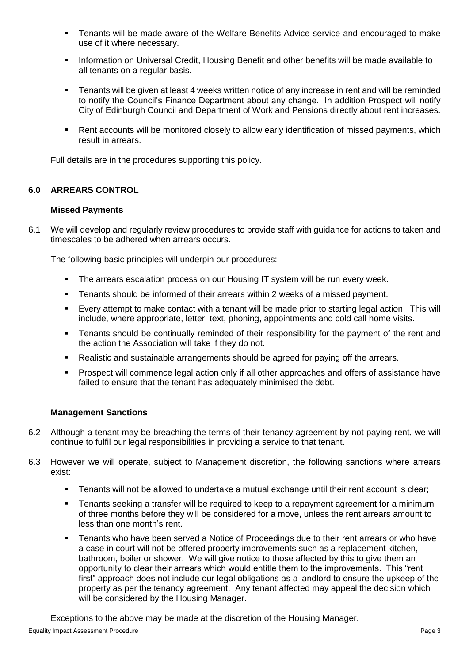- Tenants will be made aware of the Welfare Benefits Advice service and encouraged to make use of it where necessary.
- **■** Information on Universal Credit, Housing Benefit and other benefits will be made available to all tenants on a regular basis.
- Tenants will be given at least 4 weeks written notice of any increase in rent and will be reminded to notify the Council's Finance Department about any change. In addition Prospect will notify City of Edinburgh Council and Department of Work and Pensions directly about rent increases.
- Rent accounts will be monitored closely to allow early identification of missed payments, which result in arrears.

Full details are in the procedures supporting this policy.

# **6.0 ARREARS CONTROL**

### **Missed Payments**

6.1 We will develop and regularly review procedures to provide staff with guidance for actions to taken and timescales to be adhered when arrears occurs.

The following basic principles will underpin our procedures:

- **EXECT** The arrears escalation process on our Housing IT system will be run every week.
- **EXE** Tenants should be informed of their arrears within 2 weeks of a missed payment.
- Every attempt to make contact with a tenant will be made prior to starting legal action. This will include, where appropriate, letter, text, phoning, appointments and cold call home visits.
- **•** Tenants should be continually reminded of their responsibility for the payment of the rent and the action the Association will take if they do not.
- Realistic and sustainable arrangements should be agreed for paying off the arrears.
- Prospect will commence legal action only if all other approaches and offers of assistance have failed to ensure that the tenant has adequately minimised the debt.

### **Management Sanctions**

- 6.2 Although a tenant may be breaching the terms of their tenancy agreement by not paying rent, we will continue to fulfil our legal responsibilities in providing a service to that tenant.
- 6.3 However we will operate, subject to Management discretion, the following sanctions where arrears exist:
	- **•** Tenants will not be allowed to undertake a mutual exchange until their rent account is clear;
	- **•** Tenants seeking a transfer will be required to keep to a repayment agreement for a minimum of three months before they will be considered for a move, unless the rent arrears amount to less than one month's rent.
	- Tenants who have been served a Notice of Proceedings due to their rent arrears or who have a case in court will not be offered property improvements such as a replacement kitchen, bathroom, boiler or shower. We will give notice to those affected by this to give them an opportunity to clear their arrears which would entitle them to the improvements. This "rent first" approach does not include our legal obligations as a landlord to ensure the upkeep of the property as per the tenancy agreement. Any tenant affected may appeal the decision which will be considered by the Housing Manager.

Exceptions to the above may be made at the discretion of the Housing Manager.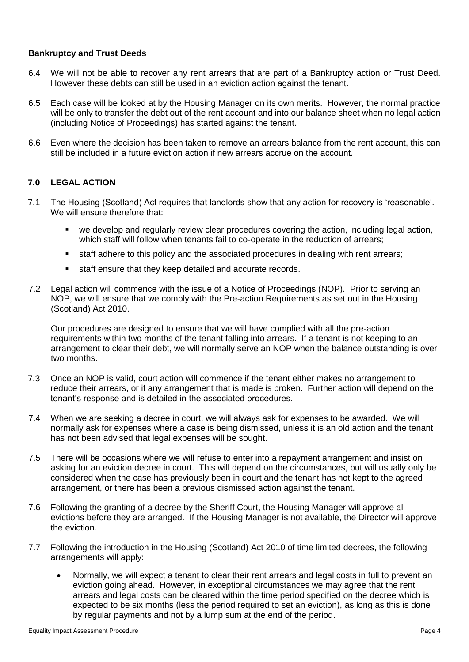### **Bankruptcy and Trust Deeds**

- 6.4 We will not be able to recover any rent arrears that are part of a Bankruptcy action or Trust Deed. However these debts can still be used in an eviction action against the tenant.
- 6.5 Each case will be looked at by the Housing Manager on its own merits. However, the normal practice will be only to transfer the debt out of the rent account and into our balance sheet when no legal action (including Notice of Proceedings) has started against the tenant.
- 6.6 Even where the decision has been taken to remove an arrears balance from the rent account, this can still be included in a future eviction action if new arrears accrue on the account.

### **7.0 LEGAL ACTION**

- 7.1 The Housing (Scotland) Act requires that landlords show that any action for recovery is 'reasonable'. We will ensure therefore that:
	- we develop and regularly review clear procedures covering the action, including legal action, which staff will follow when tenants fail to co-operate in the reduction of arrears;
	- staff adhere to this policy and the associated procedures in dealing with rent arrears;
	- staff ensure that they keep detailed and accurate records.
- 7.2 Legal action will commence with the issue of a Notice of Proceedings (NOP). Prior to serving an NOP, we will ensure that we comply with the Pre-action Requirements as set out in the Housing (Scotland) Act 2010.

Our procedures are designed to ensure that we will have complied with all the pre-action requirements within two months of the tenant falling into arrears. If a tenant is not keeping to an arrangement to clear their debt, we will normally serve an NOP when the balance outstanding is over two months.

- 7.3 Once an NOP is valid, court action will commence if the tenant either makes no arrangement to reduce their arrears, or if any arrangement that is made is broken. Further action will depend on the tenant's response and is detailed in the associated procedures.
- 7.4 When we are seeking a decree in court, we will always ask for expenses to be awarded. We will normally ask for expenses where a case is being dismissed, unless it is an old action and the tenant has not been advised that legal expenses will be sought.
- 7.5 There will be occasions where we will refuse to enter into a repayment arrangement and insist on asking for an eviction decree in court. This will depend on the circumstances, but will usually only be considered when the case has previously been in court and the tenant has not kept to the agreed arrangement, or there has been a previous dismissed action against the tenant.
- 7.6 Following the granting of a decree by the Sheriff Court, the Housing Manager will approve all evictions before they are arranged. If the Housing Manager is not available, the Director will approve the eviction.
- 7.7 Following the introduction in the Housing (Scotland) Act 2010 of time limited decrees, the following arrangements will apply:
	- Normally, we will expect a tenant to clear their rent arrears and legal costs in full to prevent an eviction going ahead. However, in exceptional circumstances we may agree that the rent arrears and legal costs can be cleared within the time period specified on the decree which is expected to be six months (less the period required to set an eviction), as long as this is done by regular payments and not by a lump sum at the end of the period.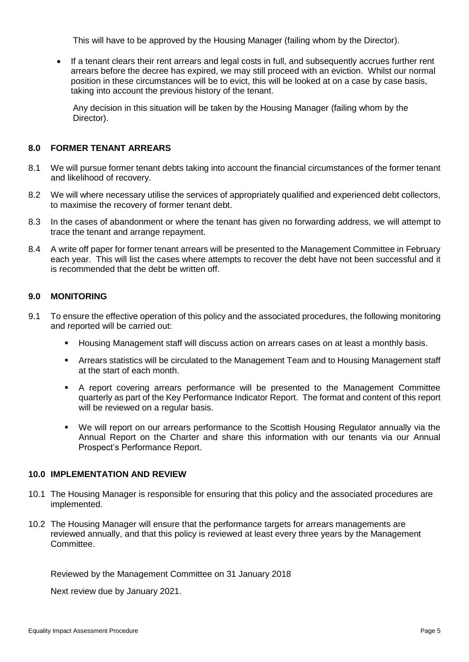This will have to be approved by the Housing Manager (failing whom by the Director).

• If a tenant clears their rent arrears and legal costs in full, and subsequently accrues further rent arrears before the decree has expired, we may still proceed with an eviction. Whilst our normal position in these circumstances will be to evict, this will be looked at on a case by case basis, taking into account the previous history of the tenant.

Any decision in this situation will be taken by the Housing Manager (failing whom by the Director).

### **8.0 FORMER TENANT ARREARS**

- 8.1 We will pursue former tenant debts taking into account the financial circumstances of the former tenant and likelihood of recovery.
- 8.2 We will where necessary utilise the services of appropriately qualified and experienced debt collectors, to maximise the recovery of former tenant debt.
- 8.3 In the cases of abandonment or where the tenant has given no forwarding address, we will attempt to trace the tenant and arrange repayment.
- 8.4 A write off paper for former tenant arrears will be presented to the Management Committee in February each year. This will list the cases where attempts to recover the debt have not been successful and it is recommended that the debt be written off.

#### **9.0 MONITORING**

- 9.1 To ensure the effective operation of this policy and the associated procedures, the following monitoring and reported will be carried out:
	- Housing Management staff will discuss action on arrears cases on at least a monthly basis.
	- Arrears statistics will be circulated to the Management Team and to Housing Management staff at the start of each month.
	- A report covering arrears performance will be presented to the Management Committee quarterly as part of the Key Performance Indicator Report. The format and content of this report will be reviewed on a regular basis.
	- We will report on our arrears performance to the Scottish Housing Regulator annually via the Annual Report on the Charter and share this information with our tenants via our Annual Prospect's Performance Report.

### **10.0 IMPLEMENTATION AND REVIEW**

- 10.1 The Housing Manager is responsible for ensuring that this policy and the associated procedures are implemented.
- 10.2 The Housing Manager will ensure that the performance targets for arrears managements are reviewed annually, and that this policy is reviewed at least every three years by the Management Committee.

Reviewed by the Management Committee on 31 January 2018

Next review due by January 2021.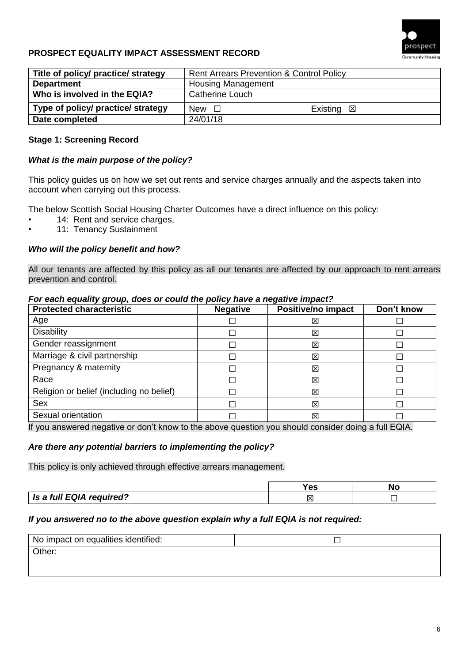

# **PROSPECT EQUALITY IMPACT ASSESSMENT RECORD**

| Title of policy/ practice/ strategy | <b>Rent Arrears Prevention &amp; Control Policy</b> |                      |  |
|-------------------------------------|-----------------------------------------------------|----------------------|--|
| <b>Department</b>                   | <b>Housing Management</b>                           |                      |  |
| Who is involved in the EQIA?        | <b>Catherine Louch</b>                              |                      |  |
| Type of policy/ practice/ strategy  | New $\Box$                                          | Existing $\boxtimes$ |  |
| Date completed                      | 24/01/18                                            |                      |  |

### **Stage 1: Screening Record**

#### *What is the main purpose of the policy?*

This policy guides us on how we set out rents and service charges annually and the aspects taken into account when carrying out this process.

The below Scottish Social Housing Charter Outcomes have a direct influence on this policy:

- 14: Rent and service charges,
- 11: Tenancy Sustainment

#### *Who will the policy benefit and how?*

All our tenants are affected by this policy as all our tenants are affected by our approach to rent arrears prevention and control.

#### *For each equality group, does or could the policy have a negative impact?*

| <b>Protected characteristic</b>          | <b>Negative</b> | <b>Positive/no impact</b> | Don't know |
|------------------------------------------|-----------------|---------------------------|------------|
| Age                                      |                 | 区                         |            |
| Disability                               |                 | 区                         |            |
| Gender reassignment                      |                 | 区                         |            |
| Marriage & civil partnership             |                 | 区                         |            |
| Pregnancy & maternity                    |                 | 区                         |            |
| Race                                     |                 | 区                         |            |
| Religion or belief (including no belief) |                 | 区                         |            |
| <b>Sex</b>                               |                 | 区                         |            |
| Sexual orientation                       |                 | 区                         |            |

If you answered negative or don't know to the above question you should consider doing a full EQIA.

#### *Are there any potential barriers to implementing the policy?*

This policy is only achieved through effective arrears management.

|                          | --  | NΟ |
|--------------------------|-----|----|
| Is a full EQIA required? | IXL |    |

#### *If you answered no to the above question explain why a full EQIA is not required:*

| No impact on equalities identified: |  |
|-------------------------------------|--|
| Other:                              |  |
|                                     |  |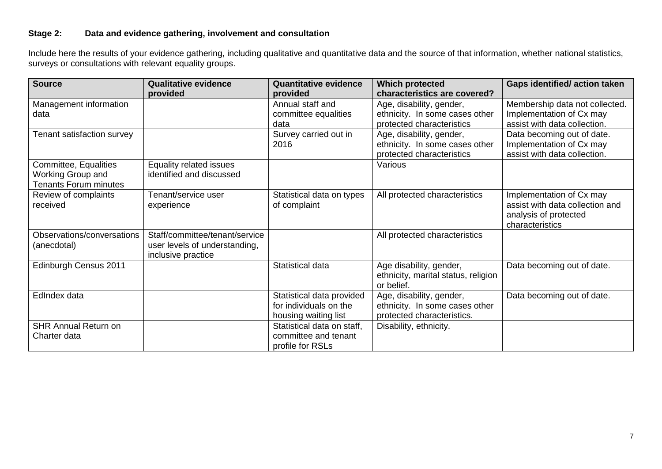# **Stage 2: Data and evidence gathering, involvement and consultation**

Include here the results of your evidence gathering, including qualitative and quantitative data and the source of that information, whether national statistics, surveys or consultations with relevant equality groups.

| <b>Source</b>                | <b>Qualitative evidence</b>    | <b>Quantitative evidence</b> | <b>Which protected</b>              | <b>Gaps identified/action taken</b> |
|------------------------------|--------------------------------|------------------------------|-------------------------------------|-------------------------------------|
|                              | provided                       | provided                     | characteristics are covered?        |                                     |
| Management information       |                                | Annual staff and             | Age, disability, gender,            | Membership data not collected.      |
| data                         |                                | committee equalities         | ethnicity. In some cases other      | Implementation of Cx may            |
|                              |                                | data                         | protected characteristics           | assist with data collection.        |
| Tenant satisfaction survey   |                                | Survey carried out in        | Age, disability, gender,            | Data becoming out of date.          |
|                              |                                | 2016                         | ethnicity. In some cases other      | Implementation of Cx may            |
|                              |                                |                              | protected characteristics           | assist with data collection.        |
| Committee, Equalities        | Equality related issues        |                              | Various                             |                                     |
| Working Group and            | identified and discussed       |                              |                                     |                                     |
| <b>Tenants Forum minutes</b> |                                |                              |                                     |                                     |
| Review of complaints         | Tenant/service user            | Statistical data on types    | All protected characteristics       | Implementation of Cx may            |
| received                     | experience                     | of complaint                 |                                     | assist with data collection and     |
|                              |                                |                              |                                     | analysis of protected               |
|                              |                                |                              |                                     | characteristics                     |
| Observations/conversations   | Staff/committee/tenant/service |                              | All protected characteristics       |                                     |
| (anecdotal)                  | user levels of understanding,  |                              |                                     |                                     |
|                              | inclusive practice             |                              |                                     |                                     |
| Edinburgh Census 2011        |                                | Statistical data             | Age disability, gender,             | Data becoming out of date.          |
|                              |                                |                              | ethnicity, marital status, religion |                                     |
|                              |                                |                              | or belief.                          |                                     |
| EdIndex data                 |                                | Statistical data provided    | Age, disability, gender,            | Data becoming out of date.          |
|                              |                                | for individuals on the       | ethnicity. In some cases other      |                                     |
|                              |                                |                              | protected characteristics.          |                                     |
|                              |                                | housing waiting list         |                                     |                                     |
| <b>SHR Annual Return on</b>  |                                | Statistical data on staff,   | Disability, ethnicity.              |                                     |
| Charter data                 |                                | committee and tenant         |                                     |                                     |
|                              |                                | profile for RSLs             |                                     |                                     |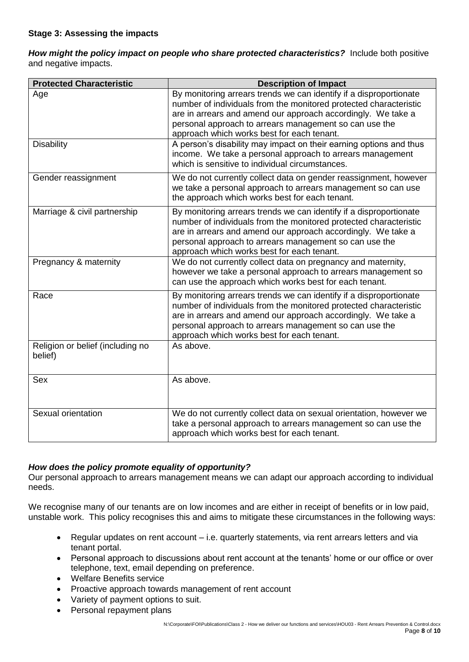*How might the policy impact on people who share protected characteristics?*Include both positive and negative impacts.

| <b>Protected Characteristic</b>             | <b>Description of Impact</b>                                                                                                                                                                                                                                                                                    |  |  |
|---------------------------------------------|-----------------------------------------------------------------------------------------------------------------------------------------------------------------------------------------------------------------------------------------------------------------------------------------------------------------|--|--|
| Age                                         | By monitoring arrears trends we can identify if a disproportionate<br>number of individuals from the monitored protected characteristic<br>are in arrears and amend our approach accordingly. We take a<br>personal approach to arrears management so can use the<br>approach which works best for each tenant. |  |  |
| <b>Disability</b>                           | A person's disability may impact on their earning options and thus<br>income. We take a personal approach to arrears management<br>which is sensitive to individual circumstances.                                                                                                                              |  |  |
| Gender reassignment                         | We do not currently collect data on gender reassignment, however<br>we take a personal approach to arrears management so can use<br>the approach which works best for each tenant.                                                                                                                              |  |  |
| Marriage & civil partnership                | By monitoring arrears trends we can identify if a disproportionate<br>number of individuals from the monitored protected characteristic<br>are in arrears and amend our approach accordingly. We take a<br>personal approach to arrears management so can use the<br>approach which works best for each tenant. |  |  |
| Pregnancy & maternity                       | We do not currently collect data on pregnancy and maternity,<br>however we take a personal approach to arrears management so<br>can use the approach which works best for each tenant.                                                                                                                          |  |  |
| Race                                        | By monitoring arrears trends we can identify if a disproportionate<br>number of individuals from the monitored protected characteristic<br>are in arrears and amend our approach accordingly. We take a<br>personal approach to arrears management so can use the<br>approach which works best for each tenant. |  |  |
| Religion or belief (including no<br>belief) | As above.                                                                                                                                                                                                                                                                                                       |  |  |
| Sex                                         | As above.                                                                                                                                                                                                                                                                                                       |  |  |
| Sexual orientation                          | We do not currently collect data on sexual orientation, however we<br>take a personal approach to arrears management so can use the<br>approach which works best for each tenant.                                                                                                                               |  |  |

### *How does the policy promote equality of opportunity?*

Our personal approach to arrears management means we can adapt our approach according to individual needs.

We recognise many of our tenants are on low incomes and are either in receipt of benefits or in low paid, unstable work. This policy recognises this and aims to mitigate these circumstances in the following ways:

- Regular updates on rent account i.e. quarterly statements, via rent arrears letters and via tenant portal.
- Personal approach to discussions about rent account at the tenants' home or our office or over telephone, text, email depending on preference.
- Welfare Benefits service
- Proactive approach towards management of rent account
- Variety of payment options to suit.
- Personal repayment plans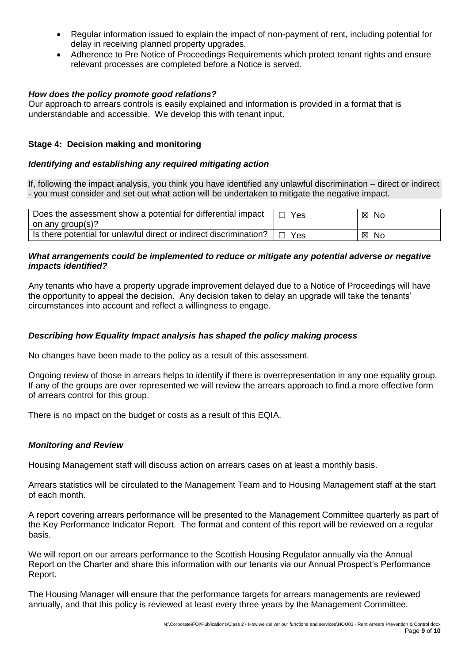- Regular information issued to explain the impact of non-payment of rent, including potential for delay in receiving planned property upgrades.
- Adherence to Pre Notice of Proceedings Requirements which protect tenant rights and ensure relevant processes are completed before a Notice is served.

### *How does the policy promote good relations?*

Our approach to arrears controls is easily explained and information is provided in a format that is understandable and accessible. We develop this with tenant input.

### **Stage 4: Decision making and monitoring**

### *Identifying and establishing any required mitigating action*

If, following the impact analysis, you think you have identified any unlawful discrimination – direct or indirect - you must consider and set out what action will be undertaken to mitigate the negative impact.

| Does the assessment show a potential for differential impact<br>on any group(s)? | Yes | 図<br>No. |
|----------------------------------------------------------------------------------|-----|----------|
| Is there potential for unlawful direct or indirect discrimination?               | Yes | 区<br>No. |

### *What arrangements could be implemented to reduce or mitigate any potential adverse or negative impacts identified?*

Any tenants who have a property upgrade improvement delayed due to a Notice of Proceedings will have the opportunity to appeal the decision. Any decision taken to delay an upgrade will take the tenants' circumstances into account and reflect a willingness to engage.

### *Describing how Equality Impact analysis has shaped the policy making process*

No changes have been made to the policy as a result of this assessment.

Ongoing review of those in arrears helps to identify if there is overrepresentation in any one equality group. If any of the groups are over represented we will review the arrears approach to find a more effective form of arrears control for this group.

There is no impact on the budget or costs as a result of this EQIA.

### *Monitoring and Review*

Housing Management staff will discuss action on arrears cases on at least a monthly basis.

Arrears statistics will be circulated to the Management Team and to Housing Management staff at the start of each month.

A report covering arrears performance will be presented to the Management Committee quarterly as part of the Key Performance Indicator Report. The format and content of this report will be reviewed on a regular basis.

We will report on our arrears performance to the Scottish Housing Regulator annually via the Annual Report on the Charter and share this information with our tenants via our Annual Prospect's Performance Report.

The Housing Manager will ensure that the performance targets for arrears managements are reviewed annually, and that this policy is reviewed at least every three years by the Management Committee.